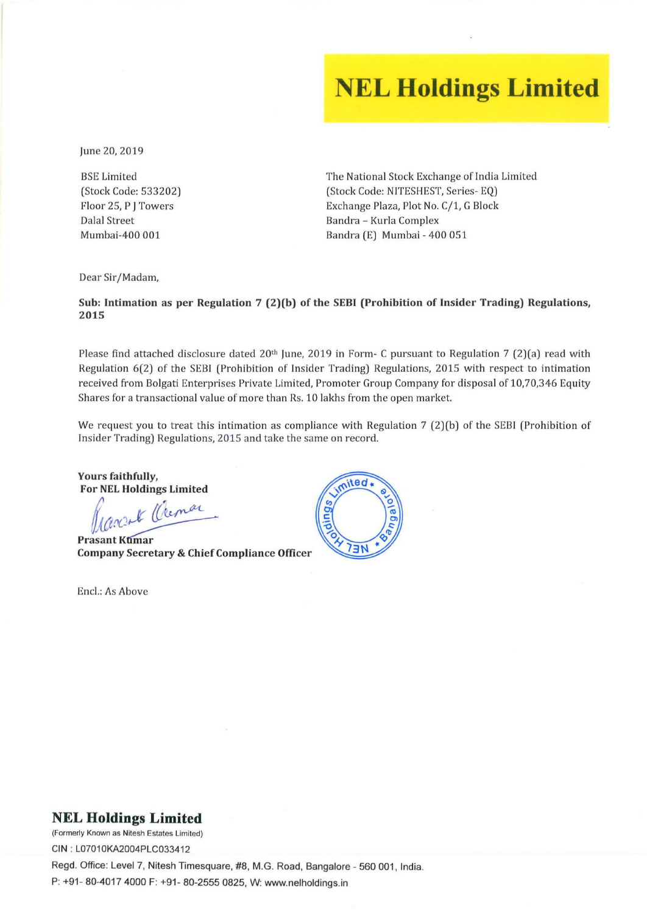## **NEL Holdings Limited**

June 20, 2019

BSE Limited (Stock Code: 533202) Floor 25, P J Towers Dalal Street Mumbai-400 001

The National Stock Exchange of India Limited (Stock Code: NITESHEST, Series- EQ) Exchange Plaza, Plot No. C/1, G Block Bandra - Kurla Complex Bandra (E) Mumbai - 400 051

Dear Sir/Madam,

Sub: Intimation as per Regulation 7 (2)(b) of the SEBI (Prohibition of Insider Trading) Regulations, 2015

Please find attached disclosure dated 20<sup>th</sup> June, 2019 in Form- C pursuant to Regulation 7 (2)(a) read with Regulation 6(2) of the SEBI (Prohibition of Insider Trading) Regulations, 2015 with respect to intimation received from Bolgati Enterprises Private Limited, Promoter Group Company for disposal of 10,70,346 Equity Shares for a transactional value of more than Rs. 10 lakhs from the open market.

We request you to treat this intimation as compliance with Regulation 7 (2)(b) of the SEBI (Prohibition of Insider Trading) Regulations, 2015 and take the same on record.

Yours faithfully, For NEL Holdings Limited

Prascrit Cremar

Prasant Kumar Company Secretary & Chief Compliance Officer

Encl.: As Above



## **NEL Holdings Limited**

**(Formerly Known as Nilesh Estates Limited)**  CIN : L07010KA2004PLC033412 Regd. Office: Level 7, Nitesh Timesquare, #8, M.G. Road, Bangalore - 560 001, India. P: +91 - 80-4017 4000 F: +91- 80-2555 0825, W: www.nelholdings.in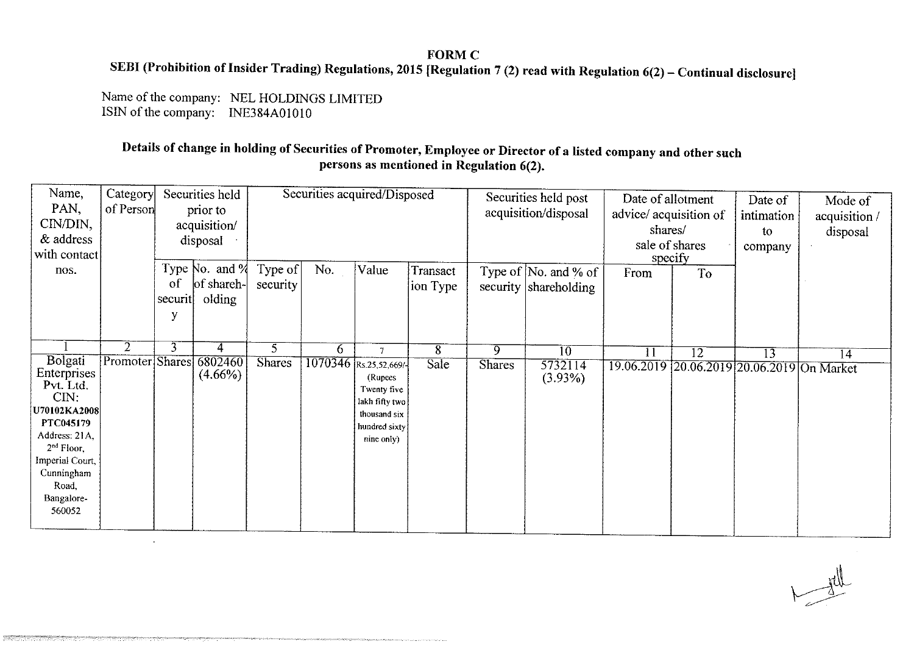## **FORM C** SEBI (Prohibition of Insider Trading) Regulations, 2015 [Regulation 7 (2) read with Regulation 6(2) - Continual disclosure]

Name of the company: NEL HOLDINGS LIMITED ISIN of the company: INE384A01010

 $\bullet$ 

ตุดลูกเกินของอาจารณ์กันเลิกส์เล่นเลิกจังจะเองอนุเกินของอีกเกินกันเกินกันเกินกูในกูเกินก็ไม่เกินกันกูเกินของเรื<br>เกินกูเกินกันกูเกินกูเกินกูเกินกูเกินกูเกินกูเกินกูเกินกูเกินกูเกินกูเกินกูเกินกูเกินกูเกินกูเกินกูเกินกูเกินก

## Details of change in holding of Securities of Promoter, Employee or Director of a listed company and other such persons as mentioned in Regulation 6(2).

| Name,<br>PAN,<br>CIN/DIN,<br>& address<br>with contact                                                                                                                                       | Category<br>of Person             | Securities held<br>prior to<br>acquisition/<br>disposal |                                            | Securities acquired/Disposed |     |                                                                                                                             |                      | Securities held post<br>acquisition/disposal |                                               | Date of allotment<br>advice/acquisition of<br>shares/<br>sale of shares<br>specify |                 | Date of<br>intimation<br>to<br>company | Mode of<br>acquisition /<br>disposal |
|----------------------------------------------------------------------------------------------------------------------------------------------------------------------------------------------|-----------------------------------|---------------------------------------------------------|--------------------------------------------|------------------------------|-----|-----------------------------------------------------------------------------------------------------------------------------|----------------------|----------------------------------------------|-----------------------------------------------|------------------------------------------------------------------------------------|-----------------|----------------------------------------|--------------------------------------|
| nos.                                                                                                                                                                                         |                                   | of<br>securit<br>y                                      | Type $No.$ and $%$<br>of shareh-<br>olding | Type of<br>security          | No. | Value                                                                                                                       | Transact<br>ion Type |                                              | Type of No. and % of<br>security shareholding | From                                                                               | T <sub>o</sub>  |                                        |                                      |
| <b>Bolgati</b><br>Enterprises<br>Pvt. Ltd.<br>CIN:<br>U70102KA2008<br>PTC045179<br>Address: 21A,<br>2 <sup>nd</sup> Floor,<br>Imperial Court,<br>Cunningham<br>Road,<br>Bangalore-<br>560052 | $\overline{2}$<br>Promoter Shares | $\overline{3}$                                          | 4<br>6802460<br>$(4.66\%)$                 | 5<br><b>Shares</b>           | 6.  | $\tau$<br>1070346 Rs.25,52,669/-<br>(Rupees<br>Twenty five<br>lakh fifty two<br>thousand six<br>hundred sixty<br>nine only) | 8<br><b>Sale</b>     | $\overline{9}$<br><b>Shares</b>              | $\overline{10}$<br>5732114<br>$(3.93\%)$      | $\overline{11}$<br>19.06.2019 20.06.2019 20.06.2019 On Market                      | $\overline{12}$ | $\overline{13}$                        | 14                                   |

 $H_{\text{tot}}$